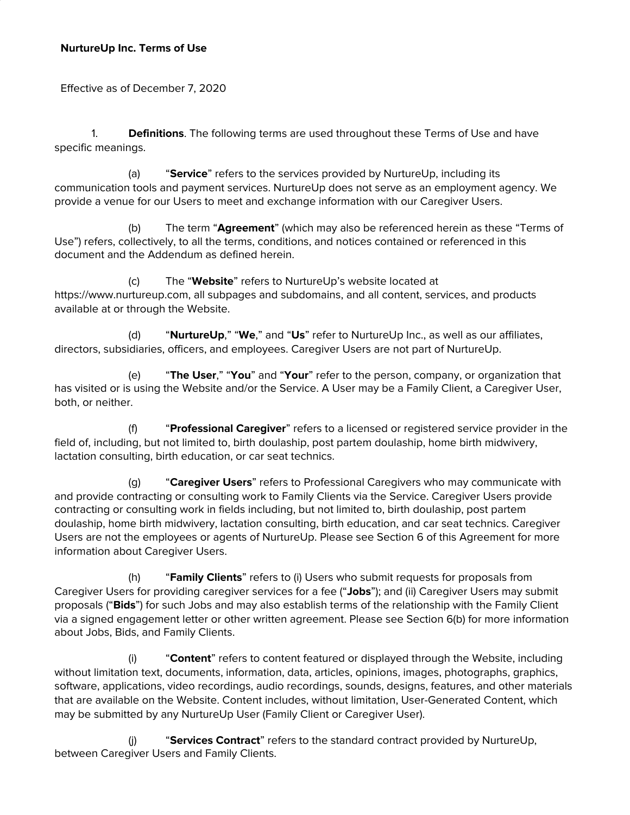#### **NurtureUp Inc. Terms of Use**

Effective as of December 7, 2020

1. **Definitions**. The following terms are used throughout these Terms of Use and have specific meanings.

(a) "**Service**" refers to the services provided by NurtureUp, including its communication tools and payment services. NurtureUp does not serve as an employment agency. We provide a venue for our Users to meet and exchange information with our Caregiver Users.

(b) The term "**Agreement**" (which may also be referenced herein as these "Terms of Use") refers, collectively, to all the terms, conditions, and notices contained or referenced in this document and the Addendum as defined herein.

(c) The "**Website**" refers to NurtureUp's website located at https[://www.nurtureup.com,](http://www.upcounsel.com/) all subpages and subdomains, and all content, services, and products available at or through the Website.

(d) "**NurtureUp**," "**We**," and "**Us**" refer to NurtureUp Inc., as well as our affiliates, directors, subsidiaries, officers, and employees. Caregiver Users are not part of NurtureUp.

(e) "**The User**," "**You**" and "**Your**" refer to the person, company, or organization that has visited or is using the Website and/or the Service. A User may be a Family Client, a Caregiver User, both, or neither.

(f) "**Professional Caregiver**" refers to a licensed or registered service provider in the field of, including, but not limited to, birth doulaship, post partem doulaship, home birth midwivery, lactation consulting, birth education, or car seat technics.

(g) "**Caregiver Users**" refers to Professional Caregivers who may communicate with and provide contracting or consulting work to Family Clients via the Service. Caregiver Users provide contracting or consulting work in fields including, but not limited to, birth doulaship, post partem doulaship, home birth midwivery, lactation consulting, birth education, and car seat technics. Caregiver Users are not the employees or agents of NurtureUp. Please see Section 6 of this Agreement for more information about Caregiver Users.

(h) "**Family Clients**" refers to (i) Users who submit requests for proposals from Caregiver Users for providing caregiver services for a fee ("**Jobs**"); and (ii) Caregiver Users may submit proposals ("**Bids**") for such Jobs and may also establish terms of the relationship with the Family Client via a signed engagement letter or other written agreement. Please see Section 6(b) for more information about Jobs, Bids, and Family Clients.

(i) "**Content**" refers to content featured or displayed through the Website, including without limitation text, documents, information, data, articles, opinions, images, photographs, graphics, software, applications, video recordings, audio recordings, sounds, designs, features, and other materials that are available on the Website. Content includes, without limitation, User-Generated Content, which may be submitted by any NurtureUp User (Family Client or Caregiver User).

(j) "**Services Contract**" refers to the standard contract provided by NurtureUp, between Caregiver Users and Family Clients.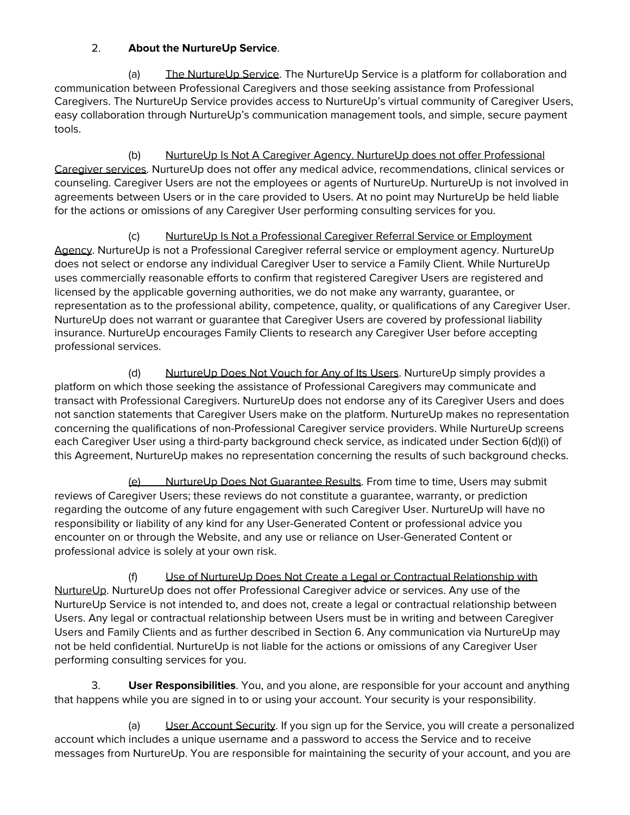## 2. **About the NurtureUp Service**.

(a) The NurtureUp Service. The NurtureUp Service is a platform for collaboration and communication between Professional Caregivers and those seeking assistance from Professional Caregivers. The NurtureUp Service provides access to NurtureUp's virtual community of Caregiver Users, easy collaboration through NurtureUp's communication management tools, and simple, secure payment tools.

(b) NurtureUp Is Not A Caregiver Agency. NurtureUp does not offer Professional Caregiver services. NurtureUp does not offer any medical advice, recommendations, clinical services or counseling. Caregiver Users are not the employees or agents of NurtureUp. NurtureUp is not involved in agreements between Users or in the care provided to Users. At no point may NurtureUp be held liable for the actions or omissions of any Caregiver User performing consulting services for you.

(c) NurtureUp Is Not a Professional Caregiver Referral Service or Employment Agency. NurtureUp is not a Professional Caregiver referral service or employment agency. NurtureUp does not select or endorse any individual Caregiver User to service a Family Client. While NurtureUp uses commercially reasonable efforts to confirm that registered Caregiver Users are registered and licensed by the applicable governing authorities, we do not make any warranty, guarantee, or representation as to the professional ability, competence, quality, or qualifications of any Caregiver User. NurtureUp does not warrant or guarantee that Caregiver Users are covered by professional liability insurance. NurtureUp encourages Family Clients to research any Caregiver User before accepting professional services.

(d) NurtureUp Does Not Vouch for Any of Its Users. NurtureUp simply provides a platform on which those seeking the assistance of Professional Caregivers may communicate and transact with Professional Caregivers. NurtureUp does not endorse any of its Caregiver Users and does not sanction statements that Caregiver Users make on the platform. NurtureUp makes no representation concerning the qualifications of non-Professional Caregiver service providers. While NurtureUp screens each Caregiver User using a third-party background check service, as indicated under Section 6(d)(i) of this Agreement, NurtureUp makes no representation concerning the results of such background checks.

(e) NurtureUp Does Not Guarantee Results. From time to time, Users may submit reviews of Caregiver Users; these reviews do not constitute a guarantee, warranty, or prediction regarding the outcome of any future engagement with such Caregiver User. NurtureUp will have no responsibility or liability of any kind for any User-Generated Content or professional advice you encounter on or through the Website, and any use or reliance on User-Generated Content or professional advice is solely at your own risk.

(f) Use of NurtureUp Does Not Create a Legal or Contractual Relationship with NurtureUp. NurtureUp does not offer Professional Caregiver advice or services. Any use of the NurtureUp Service is not intended to, and does not, create a legal or contractual relationship between Users. Any legal or contractual relationship between Users must be in writing and between Caregiver Users and Family Clients and as further described in Section 6. Any communication via NurtureUp may not be held confidential. NurtureUp is not liable for the actions or omissions of any Caregiver User performing consulting services for you.

3. **User Responsibilities**. You, and you alone, are responsible for your account and anything that happens while you are signed in to or using your account. Your security is your responsibility.

(a) User Account Security. If you sign up for the Service, you will create a personalized account which includes a unique username and a password to access the Service and to receive messages from NurtureUp. You are responsible for maintaining the security of your account, and you are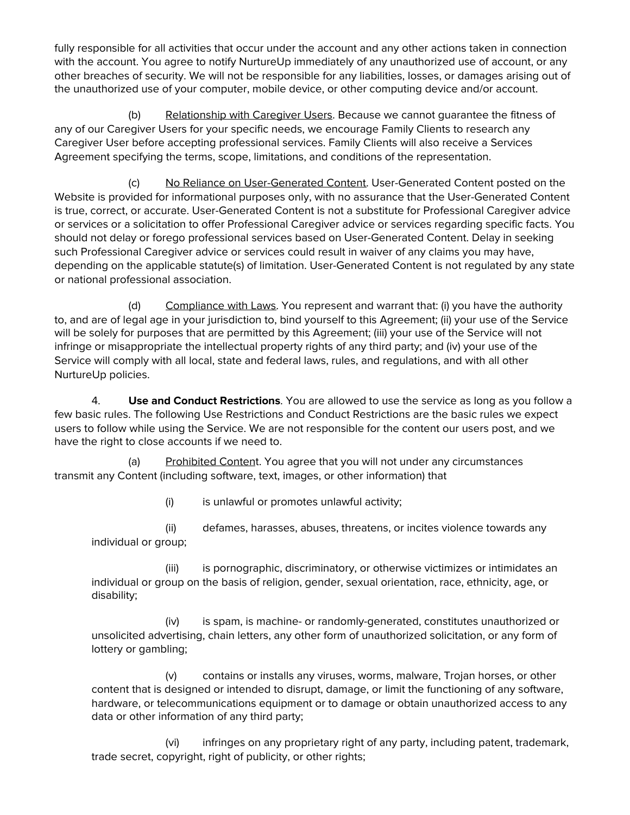fully responsible for all activities that occur under the account and any other actions taken in connection with the account. You agree to notify NurtureUp immediately of any unauthorized use of account, or any other breaches of security. We will not be responsible for any liabilities, losses, or damages arising out of the unauthorized use of your computer, mobile device, or other computing device and/or account.

(b) Relationship with Caregiver Users. Because we cannot guarantee the fitness of any of our Caregiver Users for your specific needs, we encourage Family Clients to research any Caregiver User before accepting professional services. Family Clients will also receive a Services Agreement specifying the terms, scope, limitations, and conditions of the representation.

(c) No Reliance on User-Generated Content. User-Generated Content posted on the Website is provided for informational purposes only, with no assurance that the User-Generated Content is true, correct, or accurate. User-Generated Content is not a substitute for Professional Caregiver advice or services or a solicitation to offer Professional Caregiver advice or services regarding specific facts. You should not delay or forego professional services based on User-Generated Content. Delay in seeking such Professional Caregiver advice or services could result in waiver of any claims you may have, depending on the applicable statute(s) of limitation. User-Generated Content is not regulated by any state or national professional association.

(d) Compliance with Laws. You represent and warrant that: (i) you have the authority to, and are of legal age in your jurisdiction to, bind yourself to this Agreement; (ii) your use of the Service will be solely for purposes that are permitted by this Agreement; (iii) your use of the Service will not infringe or misappropriate the intellectual property rights of any third party; and (iv) your use of the Service will comply with all local, state and federal laws, rules, and regulations, and with all other NurtureUp policies.

4. **Use and Conduct Restrictions**. You are allowed to use the service as long as you follow a few basic rules. The following Use Restrictions and Conduct Restrictions are the basic rules we expect users to follow while using the Service. We are not responsible for the content our users post, and we have the right to close accounts if we need to.

(a) Prohibited Content. You agree that you will not under any circumstances transmit any Content (including software, text, images, or other information) that

(i) is unlawful or promotes unlawful activity;

(ii) defames, harasses, abuses, threatens, or incites violence towards any individual or group;

(iii) is pornographic, discriminatory, or otherwise victimizes or intimidates an individual or group on the basis of religion, gender, sexual orientation, race, ethnicity, age, or disability;

(iv) is spam, is machine- or randomly-generated, constitutes unauthorized or unsolicited advertising, chain letters, any other form of unauthorized solicitation, or any form of lottery or gambling;

(v) contains or installs any viruses, worms, malware, Trojan horses, or other content that is designed or intended to disrupt, damage, or limit the functioning of any software, hardware, or telecommunications equipment or to damage or obtain unauthorized access to any data or other information of any third party;

(vi) infringes on any proprietary right of any party, including patent, trademark, trade secret, copyright, right of publicity, or other rights;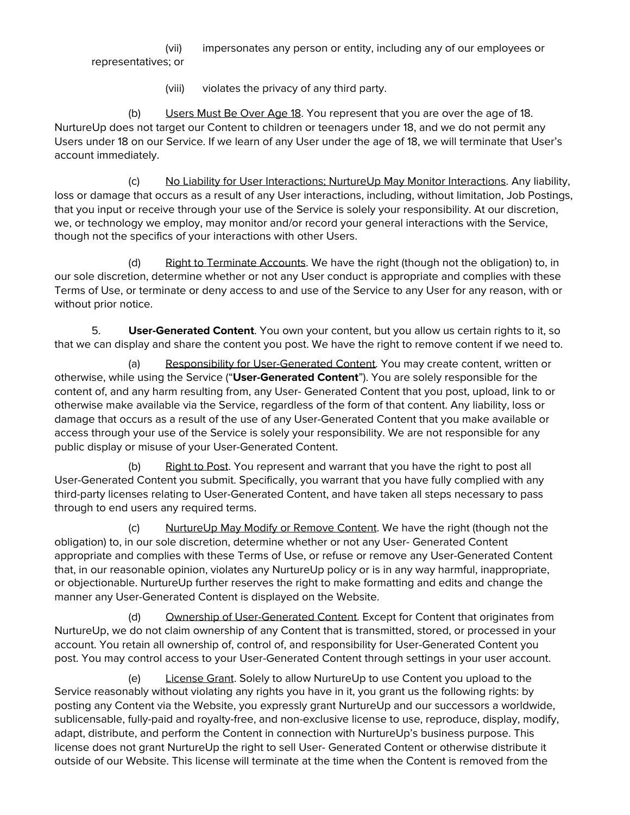(vii) impersonates any person or entity, including any of our employees or representatives; or

(viii) violates the privacy of any third party.

(b) Users Must Be Over Age 18. You represent that you are over the age of 18. NurtureUp does not target our Content to children or teenagers under 18, and we do not permit any Users under 18 on our Service. If we learn of any User under the age of 18, we will terminate that User's account immediately.

(c) No Liability for User Interactions; NurtureUp May Monitor Interactions. Any liability, loss or damage that occurs as a result of any User interactions, including, without limitation, Job Postings, that you input or receive through your use of the Service is solely your responsibility. At our discretion, we, or technology we employ, may monitor and/or record your general interactions with the Service, though not the specifics of your interactions with other Users.

(d) Right to Terminate Accounts. We have the right (though not the obligation) to, in our sole discretion, determine whether or not any User conduct is appropriate and complies with these Terms of Use, or terminate or deny access to and use of the Service to any User for any reason, with or without prior notice.

5. **User-Generated Content**. You own your content, but you allow us certain rights to it, so that we can display and share the content you post. We have the right to remove content if we need to.

(a) Responsibility for User-Generated Content. You may create content, written or otherwise, while using the Service ("**User-Generated Content**"). You are solely responsible for the content of, and any harm resulting from, any User- Generated Content that you post, upload, link to or otherwise make available via the Service, regardless of the form of that content. Any liability, loss or damage that occurs as a result of the use of any User-Generated Content that you make available or access through your use of the Service is solely your responsibility. We are not responsible for any public display or misuse of your User-Generated Content.

(b) Right to Post. You represent and warrant that you have the right to post all User-Generated Content you submit. Specifically, you warrant that you have fully complied with any third-party licenses relating to User-Generated Content, and have taken all steps necessary to pass through to end users any required terms.

(c) NurtureUp May Modify or Remove Content. We have the right (though not the obligation) to, in our sole discretion, determine whether or not any User- Generated Content appropriate and complies with these Terms of Use, or refuse or remove any User-Generated Content that, in our reasonable opinion, violates any NurtureUp policy or is in any way harmful, inappropriate, or objectionable. NurtureUp further reserves the right to make formatting and edits and change the manner any User-Generated Content is displayed on the Website.

(d) Ownership of User-Generated Content. Except for Content that originates from NurtureUp, we do not claim ownership of any Content that is transmitted, stored, or processed in your account. You retain all ownership of, control of, and responsibility for User-Generated Content you post. You may control access to your User-Generated Content through settings in your user account.

(e) License Grant. Solely to allow NurtureUp to use Content you upload to the Service reasonably without violating any rights you have in it, you grant us the following rights: by posting any Content via the Website, you expressly grant NurtureUp and our successors a worldwide, sublicensable, fully-paid and royalty-free, and non-exclusive license to use, reproduce, display, modify, adapt, distribute, and perform the Content in connection with NurtureUp's business purpose. This license does not grant NurtureUp the right to sell User- Generated Content or otherwise distribute it outside of our Website. This license will terminate at the time when the Content is removed from the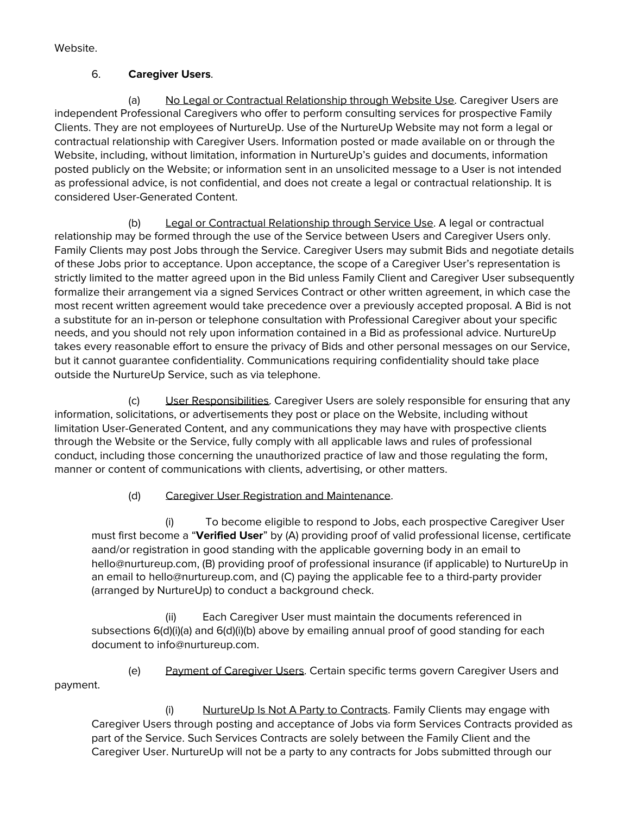Website.

## 6. **Caregiver Users**.

(a) No Legal or Contractual Relationship through Website Use. Caregiver Users are independent Professional Caregivers who offer to perform consulting services for prospective Family Clients. They are not employees of NurtureUp. Use of the NurtureUp Website may not form a legal or contractual relationship with Caregiver Users. Information posted or made available on or through the Website, including, without limitation, information in NurtureUp's guides and documents, information posted publicly on the Website; or information sent in an unsolicited message to a User is not intended as professional advice, is not confidential, and does not create a legal or contractual relationship. It is considered User-Generated Content.

(b) Legal or Contractual Relationship through Service Use. A legal or contractual relationship may be formed through the use of the Service between Users and Caregiver Users only. Family Clients may post Jobs through the Service. Caregiver Users may submit Bids and negotiate details of these Jobs prior to acceptance. Upon acceptance, the scope of a Caregiver User's representation is strictly limited to the matter agreed upon in the Bid unless Family Client and Caregiver User subsequently formalize their arrangement via a signed Services Contract or other written agreement, in which case the most recent written agreement would take precedence over a previously accepted proposal. A Bid is not a substitute for an in-person or telephone consultation with Professional Caregiver about your specific needs, and you should not rely upon information contained in a Bid as professional advice. NurtureUp takes every reasonable effort to ensure the privacy of Bids and other personal messages on our Service, but it cannot guarantee confidentiality. Communications requiring confidentiality should take place outside the NurtureUp Service, such as via telephone.

(c) User Responsibilities. Caregiver Users are solely responsible for ensuring that any information, solicitations, or advertisements they post or place on the Website, including without limitation User-Generated Content, and any communications they may have with prospective clients through the Website or the Service, fully comply with all applicable laws and rules of professional conduct, including those concerning the unauthorized practice of law and those regulating the form, manner or content of communications with clients, advertising, or other matters.

(d) Caregiver User Registration and Maintenance.

(i) To become eligible to respond to Jobs, each prospective Caregiver User must first become a "**Verified User**" by (A) providing proof of valid professional license, certificate aand/or registration in good standing with the applicable governing body in an email to hello@nurtureup.com, (B) providing proof of professional insurance (if applicable) to NurtureUp in an email to hello@nurtureup.com, and (C) paying the applicable fee to a third-party provider (arranged by NurtureUp) to conduct a background check.

(ii) Each Caregiver User must maintain the documents referenced in subsections 6(d)(i)(a) and 6(d)(i)(b) above by emailing annual proof of good standing for each document to info@nurtureup.com.

(e) Payment of Caregiver Users. Certain specific terms govern Caregiver Users and payment.

(i) NurtureUp Is Not A Party to Contracts. Family Clients may engage with Caregiver Users through posting and acceptance of Jobs via form Services Contracts provided as part of the Service. Such Services Contracts are solely between the Family Client and the Caregiver User. NurtureUp will not be a party to any contracts for Jobs submitted through our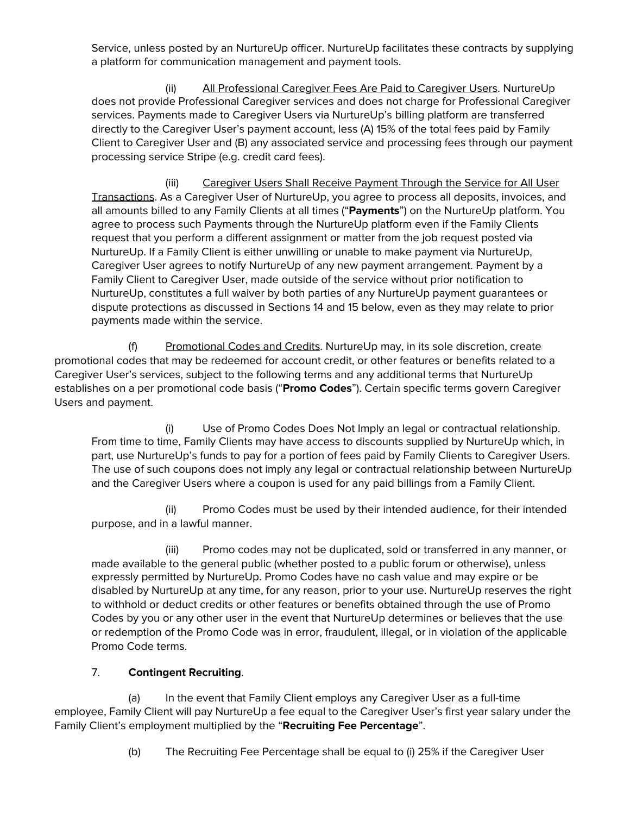Service, unless posted by an NurtureUp officer. NurtureUp facilitates these contracts by supplying a platform for communication management and payment tools.

(ii) All Professional Caregiver Fees Are Paid to Caregiver Users. NurtureUp does not provide Professional Caregiver services and does not charge for Professional Caregiver services. Payments made to Caregiver Users via NurtureUp's billing platform are transferred directly to the Caregiver User's payment account, less (A) 15% of the total fees paid by Family Client to Caregiver User and (B) any associated service and processing fees through our payment processing service Stripe (e.g. credit card fees).

(iii) Caregiver Users Shall Receive Payment Through the Service for All User Transactions. As a Caregiver User of NurtureUp, you agree to process all deposits, invoices, and all amounts billed to any Family Clients at all times ("**Payments**") on the NurtureUp platform. You agree to process such Payments through the NurtureUp platform even if the Family Clients request that you perform a different assignment or matter from the job request posted via NurtureUp. If a Family Client is either unwilling or unable to make payment via NurtureUp, Caregiver User agrees to notify NurtureUp of any new payment arrangement. Payment by a Family Client to Caregiver User, made outside of the service without prior notification to NurtureUp, constitutes a full waiver by both parties of any NurtureUp payment guarantees or dispute protections as discussed in Sections 14 and 15 below, even as they may relate to prior payments made within the service.

(f) Promotional Codes and Credits. NurtureUp may, in its sole discretion, create promotional codes that may be redeemed for account credit, or other features or benefits related to a Caregiver User's services, subject to the following terms and any additional terms that NurtureUp establishes on a per promotional code basis ("**Promo Codes**"). Certain specific terms govern Caregiver Users and payment.

(i) Use of Promo Codes Does Not Imply an legal or contractual relationship. From time to time, Family Clients may have access to discounts supplied by NurtureUp which, in part, use NurtureUp's funds to pay for a portion of fees paid by Family Clients to Caregiver Users. The use of such coupons does not imply any legal or contractual relationship between NurtureUp and the Caregiver Users where a coupon is used for any paid billings from a Family Client.

(ii) Promo Codes must be used by their intended audience, for their intended purpose, and in a lawful manner.

(iii) Promo codes may not be duplicated, sold or transferred in any manner, or made available to the general public (whether posted to a public forum or otherwise), unless expressly permitted by NurtureUp. Promo Codes have no cash value and may expire or be disabled by NurtureUp at any time, for any reason, prior to your use. NurtureUp reserves the right to withhold or deduct credits or other features or benefits obtained through the use of Promo Codes by you or any other user in the event that NurtureUp determines or believes that the use or redemption of the Promo Code was in error, fraudulent, illegal, or in violation of the applicable Promo Code terms.

### 7. **Contingent Recruiting**.

(a) In the event that Family Client employs any Caregiver User as a full-time employee, Family Client will pay NurtureUp a fee equal to the Caregiver User's first year salary under the Family Client's employment multiplied by the "**Recruiting Fee Percentage**".

(b) The Recruiting Fee Percentage shall be equal to (i) 25% if the Caregiver User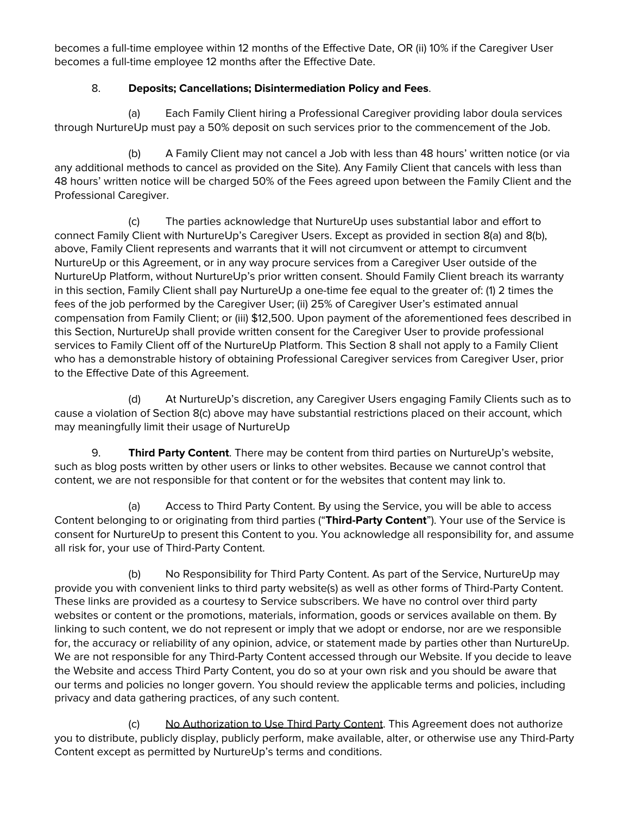becomes a full-time employee within 12 months of the Effective Date, OR (ii) 10% if the Caregiver User becomes a full-time employee 12 months after the Effective Date.

## 8. **Deposits; Cancellations; Disintermediation Policy and Fees**.

(a) Each Family Client hiring a Professional Caregiver providing labor doula services through NurtureUp must pay a 50% deposit on such services prior to the commencement of the Job.

(b) A Family Client may not cancel a Job with less than 48 hours' written notice (or via any additional methods to cancel as provided on the Site). Any Family Client that cancels with less than 48 hours' written notice will be charged 50% of the Fees agreed upon between the Family Client and the Professional Caregiver.

(c) The parties acknowledge that NurtureUp uses substantial labor and effort to connect Family Client with NurtureUp's Caregiver Users. Except as provided in section 8(a) and 8(b), above, Family Client represents and warrants that it will not circumvent or attempt to circumvent NurtureUp or this Agreement, or in any way procure services from a Caregiver User outside of the NurtureUp Platform, without NurtureUp's prior written consent. Should Family Client breach its warranty in this section, Family Client shall pay NurtureUp a one-time fee equal to the greater of: (1) 2 times the fees of the job performed by the Caregiver User; (ii) 25% of Caregiver User's estimated annual compensation from Family Client; or (iii) \$12,500. Upon payment of the aforementioned fees described in this Section, NurtureUp shall provide written consent for the Caregiver User to provide professional services to Family Client off of the NurtureUp Platform. This Section 8 shall not apply to a Family Client who has a demonstrable history of obtaining Professional Caregiver services from Caregiver User, prior to the Effective Date of this Agreement.

(d) At NurtureUp's discretion, any Caregiver Users engaging Family Clients such as to cause a violation of Section 8(c) above may have substantial restrictions placed on their account, which may meaningfully limit their usage of NurtureUp

9. **Third Party Content**. There may be content from third parties on NurtureUp's website, such as blog posts written by other users or links to other websites. Because we cannot control that content, we are not responsible for that content or for the websites that content may link to.

(a) Access to Third Party Content. By using the Service, you will be able to access Content belonging to or originating from third parties ("**Third-Party Content**"). Your use of the Service is consent for NurtureUp to present this Content to you. You acknowledge all responsibility for, and assume all risk for, your use of Third-Party Content.

(b) No Responsibility for Third Party Content. As part of the Service, NurtureUp may provide you with convenient links to third party website(s) as well as other forms of Third-Party Content. These links are provided as a courtesy to Service subscribers. We have no control over third party websites or content or the promotions, materials, information, goods or services available on them. By linking to such content, we do not represent or imply that we adopt or endorse, nor are we responsible for, the accuracy or reliability of any opinion, advice, or statement made by parties other than NurtureUp. We are not responsible for any Third-Party Content accessed through our Website. If you decide to leave the Website and access Third Party Content, you do so at your own risk and you should be aware that our terms and policies no longer govern. You should review the applicable terms and policies, including privacy and data gathering practices, of any such content.

(c) No Authorization to Use Third Party Content. This Agreement does not authorize you to distribute, publicly display, publicly perform, make available, alter, or otherwise use any Third-Party Content except as permitted by NurtureUp's terms and conditions.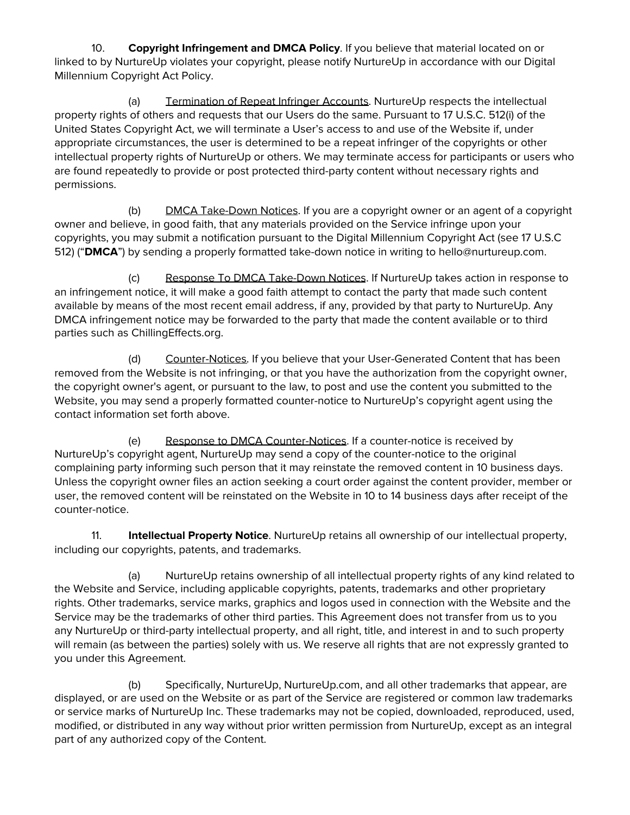10. **Copyright Infringement and DMCA Policy**. If you believe that material located on or linked to by NurtureUp violates your copyright, please notify NurtureUp in accordance with our Digital Millennium Copyright Act Policy.

(a) Termination of Repeat Infringer Accounts. NurtureUp respects the intellectual property rights of others and requests that our Users do the same. Pursuant to 17 U.S.C. 512(i) of the United States Copyright Act, we will terminate a User's access to and use of the Website if, under appropriate circumstances, the user is determined to be a repeat infringer of the copyrights or other intellectual property rights of NurtureUp or others. We may terminate access for participants or users who are found repeatedly to provide or post protected third-party content without necessary rights and permissions.

(b) DMCA Take-Down Notices. If you are a copyright owner or an agent of a copyright owner and believe, in good faith, that any materials provided on the Service infringe upon your copyrights, you may submit a notification pursuant to the Digital Millennium Copyright Act (see 17 U.S.C 512) ("**DMCA**") by sending a properly formatted take-down notice in writing to hello@nurtureup.com.

(c) Response To DMCA Take-Down Notices. If NurtureUp takes action in response to an infringement notice, it will make a good faith attempt to contact the party that made such content available by means of the most recent email address, if any, provided by that party to NurtureUp. Any DMCA infringement notice may be forwarded to the party that made the content available or to third parties such as ChillingEffects.org.

(d) Counter-Notices. If you believe that your User-Generated Content that has been removed from the Website is not infringing, or that you have the authorization from the copyright owner, the copyright owner's agent, or pursuant to the law, to post and use the content you submitted to the Website, you may send a properly formatted counter-notice to NurtureUp's copyright agent using the contact information set forth above.

(e) Response to DMCA Counter-Notices. If a counter-notice is received by NurtureUp's copyright agent, NurtureUp may send a copy of the counter-notice to the original complaining party informing such person that it may reinstate the removed content in 10 business days. Unless the copyright owner files an action seeking a court order against the content provider, member or user, the removed content will be reinstated on the Website in 10 to 14 business days after receipt of the counter-notice.

11. **Intellectual Property Notice**. NurtureUp retains all ownership of our intellectual property, including our copyrights, patents, and trademarks.

(a) NurtureUp retains ownership of all intellectual property rights of any kind related to the Website and Service, including applicable copyrights, patents, trademarks and other proprietary rights. Other trademarks, service marks, graphics and logos used in connection with the Website and the Service may be the trademarks of other third parties. This Agreement does not transfer from us to you any NurtureUp or third-party intellectual property, and all right, title, and interest in and to such property will remain (as between the parties) solely with us. We reserve all rights that are not expressly granted to you under this Agreement.

(b) Specifically, NurtureUp, NurtureUp.com, and all other trademarks that appear, are displayed, or are used on the Website or as part of the Service are registered or common law trademarks or service marks of NurtureUp Inc. These trademarks may not be copied, downloaded, reproduced, used, modified, or distributed in any way without prior written permission from NurtureUp, except as an integral part of any authorized copy of the Content.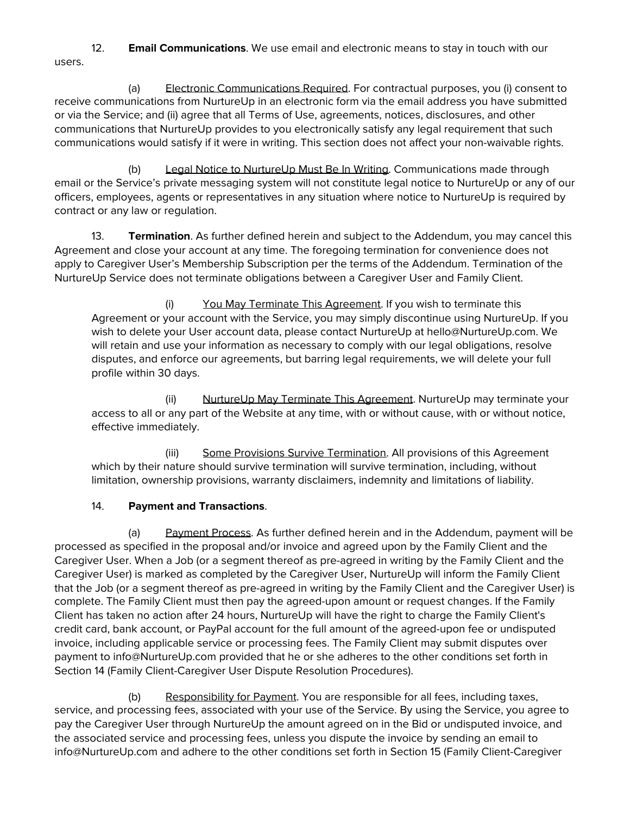12. **Email Communications**. We use email and electronic means to stay in touch with our users.

(a) Electronic Communications Required. For contractual purposes, you (i) consent to receive communications from NurtureUp in an electronic form via the email address you have submitted or via the Service; and (ii) agree that all Terms of Use, agreements, notices, disclosures, and other communications that NurtureUp provides to you electronically satisfy any legal requirement that such communications would satisfy if it were in writing. This section does not affect your non-waivable rights.

(b) Legal Notice to NurtureUp Must Be In Writing. Communications made through email or the Service's private messaging system will not constitute legal notice to NurtureUp or any of our officers, employees, agents or representatives in any situation where notice to NurtureUp is required by contract or any law or regulation.

13. **Termination**. As further defined herein and subject to the Addendum, you may cancel this Agreement and close your account at any time. The foregoing termination for convenience does not apply to Caregiver User's Membership Subscription per the terms of the Addendum. Termination of the NurtureUp Service does not terminate obligations between a Caregiver User and Family Client.

(i) You May Terminate This Agreement. If you wish to terminate this Agreement or your account with the Service, you may simply discontinue using NurtureUp. If you wish to delete your User account data, please contact NurtureUp at hello@NurtureUp.com. We will retain and use your information as necessary to comply with our legal obligations, resolve disputes, and enforce our agreements, but barring legal requirements, we will delete your full profile within 30 days.

(ii) NurtureUp May Terminate This Agreement. NurtureUp may terminate your access to all or any part of the Website at any time, with or without cause, with or without notice, effective immediately.

(iii) Some Provisions Survive Termination. All provisions of this Agreement which by their nature should survive termination will survive termination, including, without limitation, ownership provisions, warranty disclaimers, indemnity and limitations of liability.

# 14. **Payment and Transactions**.

(a) Payment Process. As further defined herein and in the Addendum, payment will be processed as specified in the proposal and/or invoice and agreed upon by the Family Client and the Caregiver User. When a Job (or a segment thereof as pre-agreed in writing by the Family Client and the Caregiver User) is marked as completed by the Caregiver User, NurtureUp will inform the Family Client that the Job (or a segment thereof as pre-agreed in writing by the Family Client and the Caregiver User) is complete. The Family Client must then pay the agreed-upon amount or request changes. If the Family Client has taken no action after 24 hours, NurtureUp will have the right to charge the Family Client's credit card, bank account, or PayPal account for the full amount of the agreed-upon fee or undisputed invoice, including applicable service or processing fees. The Family Client may submit disputes over payment to [info@NurtureUp.com](mailto:info@upcounsel.com) provided that he or she adheres to the other conditions set forth in Section 14 (Family Client-Caregiver User Dispute Resolution Procedures).

(b) Responsibility for Payment. You are responsible for all fees, including taxes, service, and processing fees, associated with your use of the Service. By using the Service, you agree to pay the Caregiver User through NurtureUp the amount agreed on in the Bid or undisputed invoice, and the associated service and processing fees, unless you dispute the invoice by sending an email to [info@NurtureUp.com](mailto:info@upcounsel.com) and adhere to the other conditions set forth in Section 15 (Family Client-Caregiver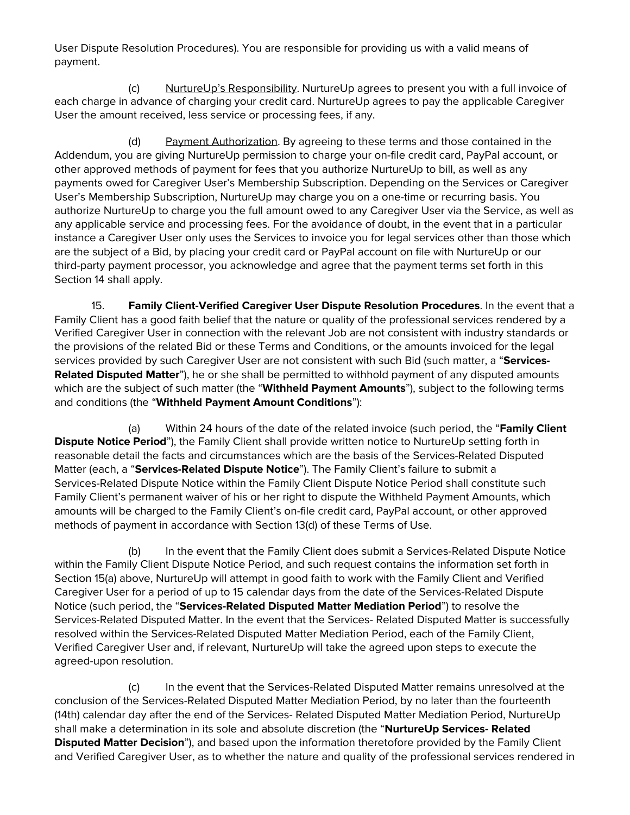User Dispute Resolution Procedures). You are responsible for providing us with a valid means of payment.

(c) NurtureUp's Responsibility. NurtureUp agrees to present you with a full invoice of each charge in advance of charging your credit card. NurtureUp agrees to pay the applicable Caregiver User the amount received, less service or processing fees, if any.

(d) Payment Authorization. By agreeing to these terms and those contained in the Addendum, you are giving NurtureUp permission to charge your on-file credit card, PayPal account, or other approved methods of payment for fees that you authorize NurtureUp to bill, as well as any payments owed for Caregiver User's Membership Subscription. Depending on the Services or Caregiver User's Membership Subscription, NurtureUp may charge you on a one-time or recurring basis. You authorize NurtureUp to charge you the full amount owed to any Caregiver User via the Service, as well as any applicable service and processing fees. For the avoidance of doubt, in the event that in a particular instance a Caregiver User only uses the Services to invoice you for legal services other than those which are the subject of a Bid, by placing your credit card or PayPal account on file with NurtureUp or our third-party payment processor, you acknowledge and agree that the payment terms set forth in this Section 14 shall apply.

15. **Family Client-Verified Caregiver User Dispute Resolution Procedures**. In the event that a Family Client has a good faith belief that the nature or quality of the professional services rendered by a Verified Caregiver User in connection with the relevant Job are not consistent with industry standards or the provisions of the related Bid or these Terms and Conditions, or the amounts invoiced for the legal services provided by such Caregiver User are not consistent with such Bid (such matter, a "**Services-Related Disputed Matter**"), he or she shall be permitted to withhold payment of any disputed amounts which are the subject of such matter (the "**Withheld Payment Amounts**"), subject to the following terms and conditions (the "**Withheld Payment Amount Conditions**"):

(a) Within 24 hours of the date of the related invoice (such period, the "**Family Client Dispute Notice Period**"), the Family Client shall provide written notice to NurtureUp setting forth in reasonable detail the facts and circumstances which are the basis of the Services-Related Disputed Matter (each, a "**Services-Related Dispute Notice**"). The Family Client's failure to submit a Services-Related Dispute Notice within the Family Client Dispute Notice Period shall constitute such Family Client's permanent waiver of his or her right to dispute the Withheld Payment Amounts, which amounts will be charged to the Family Client's on-file credit card, PayPal account, or other approved methods of payment in accordance with Section 13(d) of these Terms of Use.

(b) In the event that the Family Client does submit a Services-Related Dispute Notice within the Family Client Dispute Notice Period, and such request contains the information set forth in Section 15(a) above, NurtureUp will attempt in good faith to work with the Family Client and Verified Caregiver User for a period of up to 15 calendar days from the date of the Services-Related Dispute Notice (such period, the "**Services-Related Disputed Matter Mediation Period**") to resolve the Services-Related Disputed Matter. In the event that the Services- Related Disputed Matter is successfully resolved within the Services-Related Disputed Matter Mediation Period, each of the Family Client, Verified Caregiver User and, if relevant, NurtureUp will take the agreed upon steps to execute the agreed-upon resolution.

(c) In the event that the Services-Related Disputed Matter remains unresolved at the conclusion of the Services-Related Disputed Matter Mediation Period, by no later than the fourteenth (14th) calendar day after the end of the Services- Related Disputed Matter Mediation Period, NurtureUp shall make a determination in its sole and absolute discretion (the "**NurtureUp Services- Related Disputed Matter Decision**"), and based upon the information theretofore provided by the Family Client and Verified Caregiver User, as to whether the nature and quality of the professional services rendered in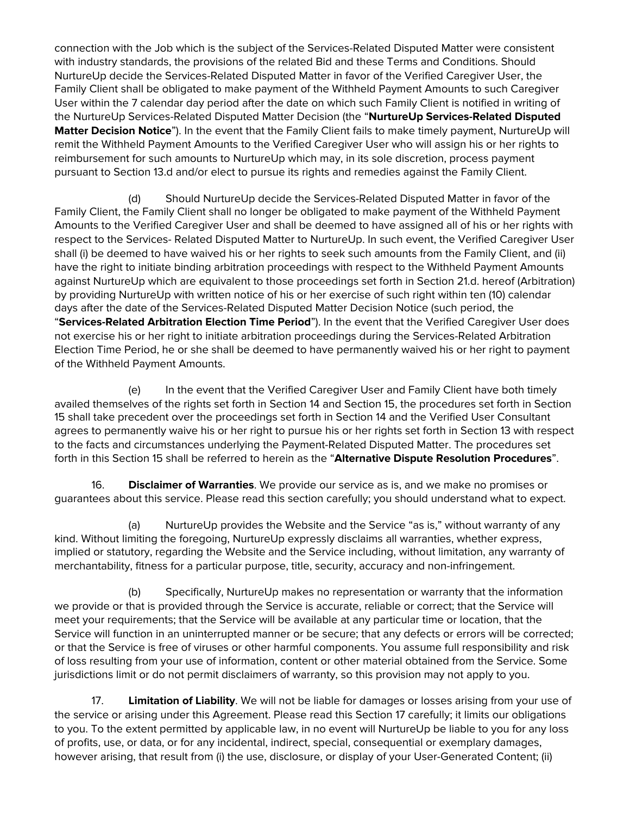connection with the Job which is the subject of the Services-Related Disputed Matter were consistent with industry standards, the provisions of the related Bid and these Terms and Conditions. Should NurtureUp decide the Services-Related Disputed Matter in favor of the Verified Caregiver User, the Family Client shall be obligated to make payment of the Withheld Payment Amounts to such Caregiver User within the 7 calendar day period after the date on which such Family Client is notified in writing of the NurtureUp Services-Related Disputed Matter Decision (the "**NurtureUp Services-Related Disputed Matter Decision Notice**"). In the event that the Family Client fails to make timely payment, NurtureUp will remit the Withheld Payment Amounts to the Verified Caregiver User who will assign his or her rights to reimbursement for such amounts to NurtureUp which may, in its sole discretion, process payment pursuant to Section 13.d and/or elect to pursue its rights and remedies against the Family Client.

(d) Should NurtureUp decide the Services-Related Disputed Matter in favor of the Family Client, the Family Client shall no longer be obligated to make payment of the Withheld Payment Amounts to the Verified Caregiver User and shall be deemed to have assigned all of his or her rights with respect to the Services- Related Disputed Matter to NurtureUp. In such event, the Verified Caregiver User shall (i) be deemed to have waived his or her rights to seek such amounts from the Family Client, and (ii) have the right to initiate binding arbitration proceedings with respect to the Withheld Payment Amounts against NurtureUp which are equivalent to those proceedings set forth in Section 21.d. hereof (Arbitration) by providing NurtureUp with written notice of his or her exercise of such right within ten (10) calendar days after the date of the Services-Related Disputed Matter Decision Notice (such period, the "**Services-Related Arbitration Election Time Period**"). In the event that the Verified Caregiver User does not exercise his or her right to initiate arbitration proceedings during the Services-Related Arbitration Election Time Period, he or she shall be deemed to have permanently waived his or her right to payment of the Withheld Payment Amounts.

(e) In the event that the Verified Caregiver User and Family Client have both timely availed themselves of the rights set forth in Section 14 and Section 15, the procedures set forth in Section 15 shall take precedent over the proceedings set forth in Section 14 and the Verified User Consultant agrees to permanently waive his or her right to pursue his or her rights set forth in Section 13 with respect to the facts and circumstances underlying the Payment-Related Disputed Matter. The procedures set forth in this Section 15 shall be referred to herein as the "**Alternative Dispute Resolution Procedures**".

16. **Disclaimer of Warranties**. We provide our service as is, and we make no promises or guarantees about this service. Please read this section carefully; you should understand what to expect.

(a) NurtureUp provides the Website and the Service "as is," without warranty of any kind. Without limiting the foregoing, NurtureUp expressly disclaims all warranties, whether express, implied or statutory, regarding the Website and the Service including, without limitation, any warranty of merchantability, fitness for a particular purpose, title, security, accuracy and non-infringement.

(b) Specifically, NurtureUp makes no representation or warranty that the information we provide or that is provided through the Service is accurate, reliable or correct; that the Service will meet your requirements; that the Service will be available at any particular time or location, that the Service will function in an uninterrupted manner or be secure; that any defects or errors will be corrected; or that the Service is free of viruses or other harmful components. You assume full responsibility and risk of loss resulting from your use of information, content or other material obtained from the Service. Some jurisdictions limit or do not permit disclaimers of warranty, so this provision may not apply to you.

17. **Limitation of Liability**. We will not be liable for damages or losses arising from your use of the service or arising under this Agreement. Please read this Section 17 carefully; it limits our obligations to you. To the extent permitted by applicable law, in no event will NurtureUp be liable to you for any loss of profits, use, or data, or for any incidental, indirect, special, consequential or exemplary damages, however arising, that result from (i) the use, disclosure, or display of your User-Generated Content; (ii)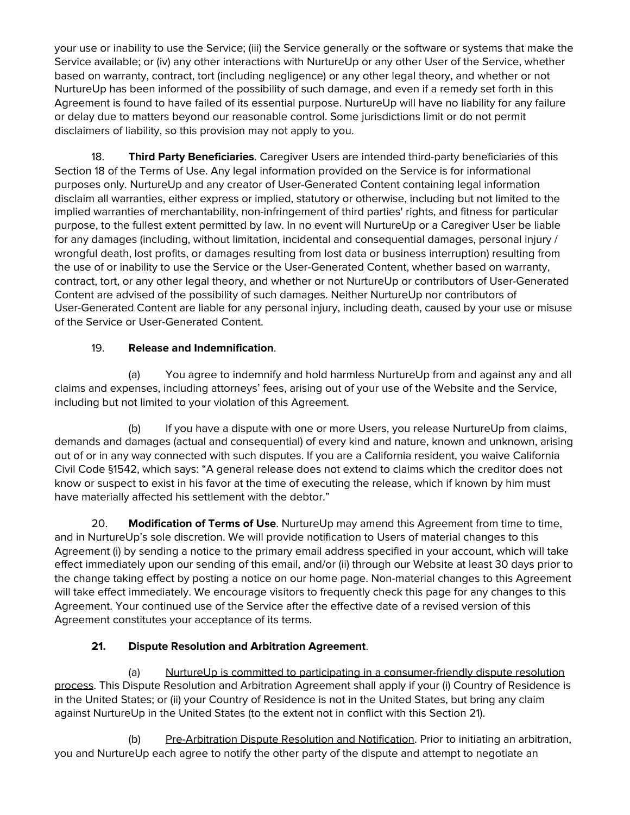your use or inability to use the Service; (iii) the Service generally or the software or systems that make the Service available; or (iv) any other interactions with NurtureUp or any other User of the Service, whether based on warranty, contract, tort (including negligence) or any other legal theory, and whether or not NurtureUp has been informed of the possibility of such damage, and even if a remedy set forth in this Agreement is found to have failed of its essential purpose. NurtureUp will have no liability for any failure or delay due to matters beyond our reasonable control. Some jurisdictions limit or do not permit disclaimers of liability, so this provision may not apply to you.

18. **Third Party Beneficiaries**. Caregiver Users are intended third-party beneficiaries of this Section 18 of the Terms of Use. Any legal information provided on the Service is for informational purposes only. NurtureUp and any creator of User-Generated Content containing legal information disclaim all warranties, either express or implied, statutory or otherwise, including but not limited to the implied warranties of merchantability, non-infringement of third parties' rights, and fitness for particular purpose, to the fullest extent permitted by law. In no event will NurtureUp or a Caregiver User be liable for any damages (including, without limitation, incidental and consequential damages, personal injury / wrongful death, lost profits, or damages resulting from lost data or business interruption) resulting from the use of or inability to use the Service or the User-Generated Content, whether based on warranty, contract, tort, or any other legal theory, and whether or not NurtureUp or contributors of User-Generated Content are advised of the possibility of such damages. Neither NurtureUp nor contributors of User-Generated Content are liable for any personal injury, including death, caused by your use or misuse of the Service or User-Generated Content.

# 19. **Release and Indemnification**.

(a) You agree to indemnify and hold harmless NurtureUp from and against any and all claims and expenses, including attorneys' fees, arising out of your use of the Website and the Service, including but not limited to your violation of this Agreement.

(b) If you have a dispute with one or more Users, you release NurtureUp from claims, demands and damages (actual and consequential) of every kind and nature, known and unknown, arising out of or in any way connected with such disputes. If you are a California resident, you waive California Civil Code §1542, which says: "A general release does not extend to claims which the creditor does not know or suspect to exist in his favor at the time of executing the release, which if known by him must have materially affected his settlement with the debtor."

20. **Modification of Terms of Use**. NurtureUp may amend this Agreement from time to time, and in NurtureUp's sole discretion. We will provide notification to Users of material changes to this Agreement (i) by sending a notice to the primary email address specified in your account, which will take effect immediately upon our sending of this email, and/or (ii) through our Website at least 30 days prior to the change taking effect by posting a notice on our home page. Non-material changes to this Agreement will take effect immediately. We encourage visitors to frequently check this page for any changes to this Agreement. Your continued use of the Service after the effective date of a revised version of this Agreement constitutes your acceptance of its terms.

# **21. Dispute Resolution and Arbitration Agreement**.

(a) NurtureUp is committed to participating in a consumer-friendly dispute resolution process. This Dispute Resolution and Arbitration Agreement shall apply if your (i) Country of Residence is in the United States; or (ii) your Country of Residence is not in the United States, but bring any claim against NurtureUp in the United States (to the extent not in conflict with this Section 21).

(b) Pre-Arbitration Dispute Resolution and Notification. Prior to initiating an arbitration, you and NurtureUp each agree to notify the other party of the dispute and attempt to negotiate an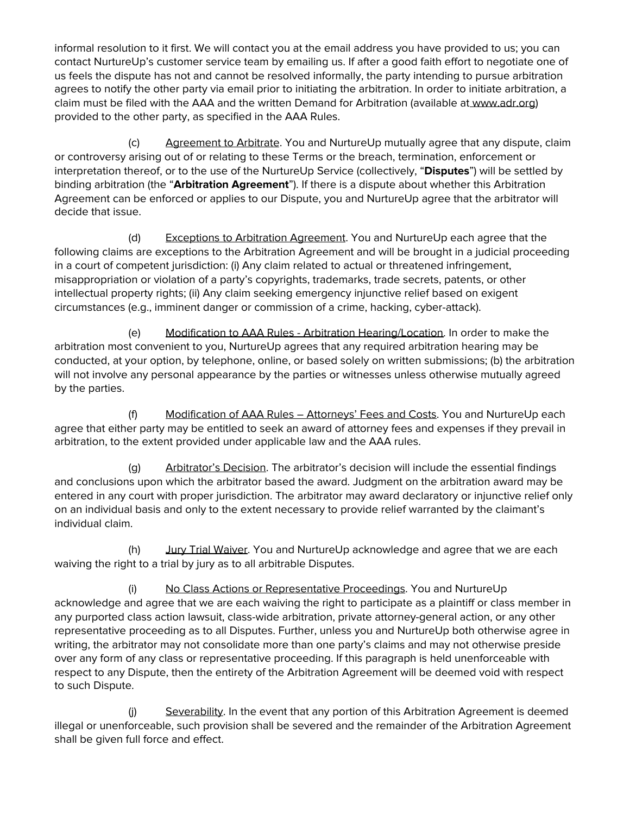informal resolution to it first. We will contact you at the email address you have provided to us; you can contact NurtureUp's customer service team by emailing us. If after a good faith effort to negotiate one of us feels the dispute has not and cannot be resolved informally, the party intending to pursue arbitration agrees to notify the other party via email prior to initiating the arbitration. In order to initiate arbitration, a claim must be filed with the AAA and the written Demand for Arbitration (available at [www.adr.or](https://www.adr.org/sites/default/files/Demand%2520for%2520Arbitration%2520Consumer%2520Arbitration%2520Rules.pdf)g) provided to the other party, as specified in the AAA Rules.

(c) Agreement to Arbitrate. You and NurtureUp mutually agree that any dispute, claim or controversy arising out of or relating to these Terms or the breach, termination, enforcement or interpretation thereof, or to the use of the NurtureUp Service (collectively, "**Disputes**") will be settled by binding arbitration (the "**Arbitration Agreement**"). If there is a dispute about whether this Arbitration Agreement can be enforced or applies to our Dispute, you and NurtureUp agree that the arbitrator will decide that issue.

(d) Exceptions to Arbitration Agreement. You and NurtureUp each agree that the following claims are exceptions to the Arbitration Agreement and will be brought in a judicial proceeding in a court of competent jurisdiction: (i) Any claim related to actual or threatened infringement, misappropriation or violation of a party's copyrights, trademarks, trade secrets, patents, or other intellectual property rights; (ii) Any claim seeking emergency injunctive relief based on exigent circumstances (e.g., imminent danger or commission of a crime, hacking, cyber-attack).

(e) Modification to AAA Rules - Arbitration Hearing/Location. In order to make the arbitration most convenient to you, NurtureUp agrees that any required arbitration hearing may be conducted, at your option, by telephone, online, or based solely on written submissions; (b) the arbitration will not involve any personal appearance by the parties or witnesses unless otherwise mutually agreed by the parties.

(f) Modification of AAA Rules – Attorneys' Fees and Costs. You and NurtureUp each agree that either party may be entitled to seek an award of attorney fees and expenses if they prevail in arbitration, to the extent provided under applicable law and the AAA rules.

(g) Arbitrator's Decision. The arbitrator's decision will include the essential findings and conclusions upon which the arbitrator based the award. Judgment on the arbitration award may be entered in any court with proper jurisdiction. The arbitrator may award declaratory or injunctive relief only on an individual basis and only to the extent necessary to provide relief warranted by the claimant's individual claim.

(h) Jury Trial Waiver. You and NurtureUp acknowledge and agree that we are each waiving the right to a trial by jury as to all arbitrable Disputes.

(i) No Class Actions or Representative Proceedings. You and NurtureUp acknowledge and agree that we are each waiving the right to participate as a plaintiff or class member in any purported class action lawsuit, class-wide arbitration, private attorney-general action, or any other representative proceeding as to all Disputes. Further, unless you and NurtureUp both otherwise agree in writing, the arbitrator may not consolidate more than one party's claims and may not otherwise preside over any form of any class or representative proceeding. If this paragraph is held unenforceable with respect to any Dispute, then the entirety of the Arbitration Agreement will be deemed void with respect to such Dispute.

(j) Severability. In the event that any portion of this Arbitration Agreement is deemed illegal or unenforceable, such provision shall be severed and the remainder of the Arbitration Agreement shall be given full force and effect.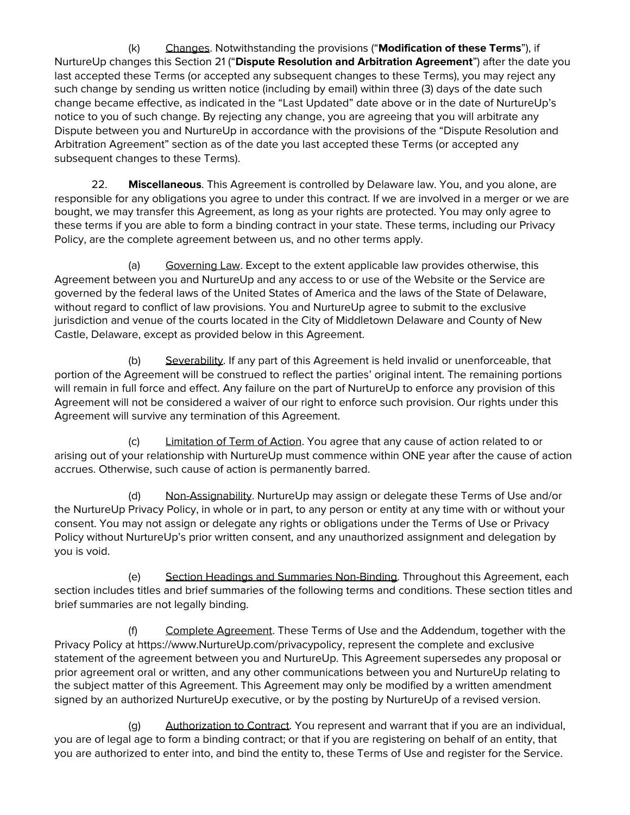(k) Changes. Notwithstanding the provisions ("**Modification of these Terms**"), if NurtureUp changes this Section 21 ("**Dispute Resolution and Arbitration Agreement**") after the date you last accepted these Terms (or accepted any subsequent changes to these Terms), you may reject any such change by sending us written notice (including by email) within three (3) days of the date such change became effective, as indicated in the "Last Updated" date above or in the date of NurtureUp's notice to you of such change. By rejecting any change, you are agreeing that you will arbitrate any Dispute between you and NurtureUp in accordance with the provisions of the "Dispute Resolution and Arbitration Agreement" section as of the date you last accepted these Terms (or accepted any subsequent changes to these Terms).

22. **Miscellaneous**. This Agreement is controlled by Delaware law. You, and you alone, are responsible for any obligations you agree to under this contract. If we are involved in a merger or we are bought, we may transfer this Agreement, as long as your rights are protected. You may only agree to these terms if you are able to form a binding contract in your state. These terms, including our Privacy Policy, are the complete agreement between us, and no other terms apply.

(a) Governing Law. Except to the extent applicable law provides otherwise, this Agreement between you and NurtureUp and any access to or use of the Website or the Service are governed by the federal laws of the United States of America and the laws of the State of Delaware, without regard to conflict of law provisions. You and NurtureUp agree to submit to the exclusive jurisdiction and venue of the courts located in the City of Middletown Delaware and County of New Castle, Delaware, except as provided below in this Agreement.

(b) Severability. If any part of this Agreement is held invalid or unenforceable, that portion of the Agreement will be construed to reflect the parties' original intent. The remaining portions will remain in full force and effect. Any failure on the part of NurtureUp to enforce any provision of this Agreement will not be considered a waiver of our right to enforce such provision. Our rights under this Agreement will survive any termination of this Agreement.

(c) Limitation of Term of Action. You agree that any cause of action related to or arising out of your relationship with NurtureUp must commence within ONE year after the cause of action accrues. Otherwise, such cause of action is permanently barred.

(d) Non-Assignability. NurtureUp may assign or delegate these Terms of Use and/or the NurtureUp Privacy Policy, in whole or in part, to any person or entity at any time with or without your consent. You may not assign or delegate any rights or obligations under the Terms of Use or Privacy Policy without NurtureUp's prior written consent, and any unauthorized assignment and delegation by you is void.

(e) Section Headings and Summaries Non-Binding. Throughout this Agreement, each section includes titles and brief summaries of the following terms and conditions. These section titles and brief summaries are not legally binding.

(f) Complete Agreement. These Terms of Use and the Addendum, together with the Privacy Policy at https[://www.NurtureUp.com/privacypolicy,](http://www.upcounsel.com/privacypolicy) represent the complete and exclusive statement of the agreement between you and NurtureUp. This Agreement supersedes any proposal or prior agreement oral or written, and any other communications between you and NurtureUp relating to the subject matter of this Agreement. This Agreement may only be modified by a written amendment signed by an authorized NurtureUp executive, or by the posting by NurtureUp of a revised version.

(g) Authorization to Contract. You represent and warrant that if you are an individual, you are of legal age to form a binding contract; or that if you are registering on behalf of an entity, that you are authorized to enter into, and bind the entity to, these Terms of Use and register for the Service.